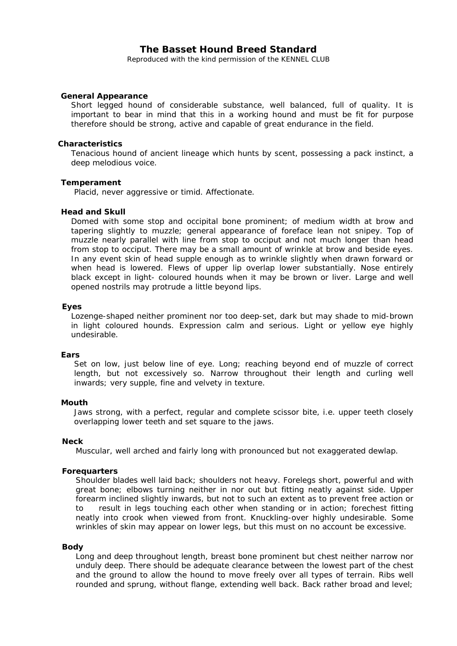# **The Basset Hound Breed Standard**

Reproduced with the kind permission of the KENNEL CLUB

## **General Appearance**

Short legged hound of considerable substance, well balanced, full of quality. It is important to bear in mind that this in a working hound and must be fit for purpose therefore should be strong, active and capable of great endurance in the field.

## **Characteristics**

Tenacious hound of ancient lineage which hunts by scent, possessing a pack instinct, a deep melodious voice.

## **Temperament**

Placid, never aggressive or timid. Affectionate.

## **Head and Skull**

Domed with some stop and occipital bone prominent; of medium width at brow and tapering slightly to muzzle; general appearance of foreface lean not snipey. Top of muzzle nearly parallel with line from stop to occiput and not much longer than head from stop to occiput. There may be a small amount of wrinkle at brow and beside eyes. In any event skin of head supple enough as to wrinkle slightly when drawn forward or when head is lowered. Flews of upper lip overlap lower substantially. Nose entirely black except in light- coloured hounds when it may be brown or liver. Large and well opened nostrils may protrude a little beyond lips.

## **Eyes**

Lozenge-shaped neither prominent nor too deep-set, dark but may shade to mid-brown in light coloured hounds. Expression calm and serious. Light or yellow eye highly undesirable.

## **Ears**

Set on low, just below line of eye. Long; reaching beyond end of muzzle of correct length, but not excessively so. Narrow throughout their length and curling well inwards; very supple, fine and velvety in texture.

## **Mouth**

Jaws strong, with a perfect, regular and complete scissor bite, i.e. upper teeth closely overlapping lower teeth and set square to the jaws.

## **Neck**

Muscular, well arched and fairly long with pronounced but not exaggerated dewlap.

## **Forequarters**

Shoulder blades well laid back; shoulders not heavy. Forelegs short, powerful and with great bone; elbows turning neither in nor out but fitting neatly against side. Upper forearm inclined slightly inwards, but not to such an extent as to prevent free action or to result in legs touching each other when standing or in action; forechest fitting neatly into crook when viewed from front. Knuckling-over highly undesirable. Some wrinkles of skin may appear on lower legs, but this must on no account be excessive.

## **Body**

Long and deep throughout length, breast bone prominent but chest neither narrow nor unduly deep. There should be adequate clearance between the lowest part of the chest and the ground to allow the hound to move freely over all types of terrain. Ribs well rounded and sprung, without flange, extending well back. Back rather broad and level;